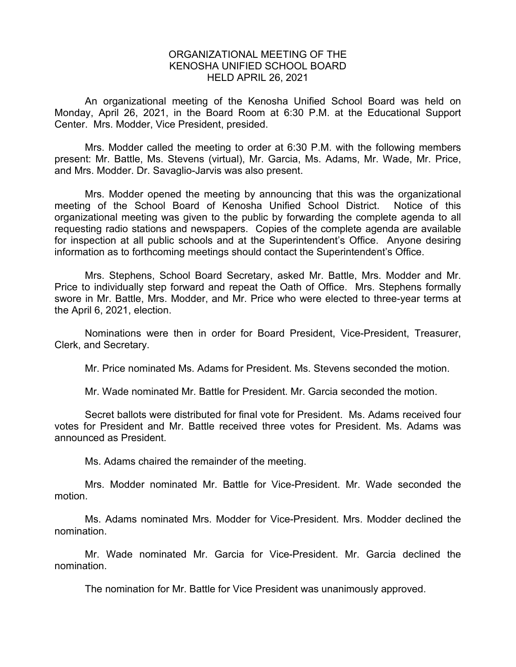## ORGANIZATIONAL MEETING OF THE KENOSHA UNIFIED SCHOOL BOARD HELD APRIL 26, 2021

An organizational meeting of the Kenosha Unified School Board was held on Monday, April 26, 2021, in the Board Room at 6:30 P.M. at the Educational Support Center. Mrs. Modder, Vice President, presided.

Mrs. Modder called the meeting to order at 6:30 P.M. with the following members present: Mr. Battle, Ms. Stevens (virtual), Mr. Garcia, Ms. Adams, Mr. Wade, Mr. Price, and Mrs. Modder. Dr. Savaglio-Jarvis was also present.

Mrs. Modder opened the meeting by announcing that this was the organizational meeting of the School Board of Kenosha Unified School District. Notice of this organizational meeting was given to the public by forwarding the complete agenda to all requesting radio stations and newspapers. Copies of the complete agenda are available for inspection at all public schools and at the Superintendent's Office. Anyone desiring information as to forthcoming meetings should contact the Superintendent's Office.

Mrs. Stephens, School Board Secretary, asked Mr. Battle, Mrs. Modder and Mr. Price to individually step forward and repeat the Oath of Office. Mrs. Stephens formally swore in Mr. Battle, Mrs. Modder, and Mr. Price who were elected to three-year terms at the April 6, 2021, election.

Nominations were then in order for Board President, Vice-President, Treasurer, Clerk, and Secretary.

Mr. Price nominated Ms. Adams for President. Ms. Stevens seconded the motion.

Mr. Wade nominated Mr. Battle for President. Mr. Garcia seconded the motion.

Secret ballots were distributed for final vote for President. Ms. Adams received four votes for President and Mr. Battle received three votes for President. Ms. Adams was announced as President.

Ms. Adams chaired the remainder of the meeting.

Mrs. Modder nominated Mr. Battle for Vice-President. Mr. Wade seconded the motion.

Ms. Adams nominated Mrs. Modder for Vice-President. Mrs. Modder declined the nomination.

Mr. Wade nominated Mr. Garcia for Vice-President. Mr. Garcia declined the nomination.

The nomination for Mr. Battle for Vice President was unanimously approved.